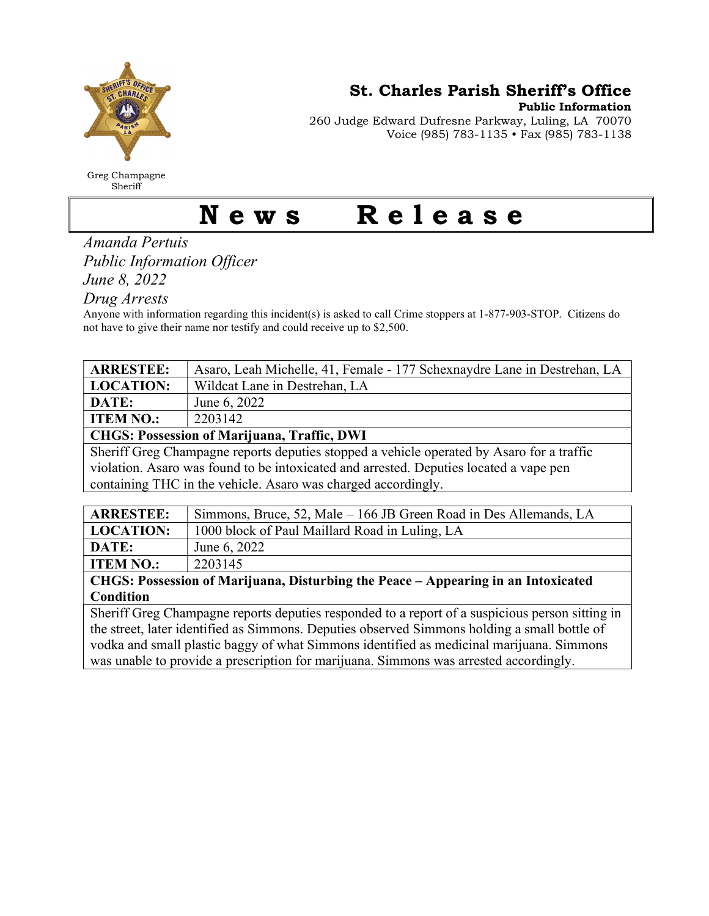

Greg Champagne Sheriff

St. Charles Parish Sheriff's Office

Public Information

260 Judge Edward Dufresne Parkway, Luling, LA 70070 Voice (985) 783-1135 • Fax (985) 783-1138

## News Release

Amanda Pertuis Public Information Officer

June 8, 2022

Drug Arrests

Anyone with information regarding this incident(s) is asked to call Crime stoppers at 1-877-903-STOP. Citizens do not have to give their name nor testify and could receive up to \$2,500.

| <b>ARRESTEE:</b>                                                                          | Asaro, Leah Michelle, 41, Female - 177 Schexnaydre Lane in Destrehan, LA |
|-------------------------------------------------------------------------------------------|--------------------------------------------------------------------------|
| <b>LOCATION:</b>                                                                          | Wildcat Lane in Destrehan, LA                                            |
| DATE:                                                                                     | June 6, 2022                                                             |
| <b>ITEM NO.:</b>                                                                          | 2203142                                                                  |
| <b>CHGS: Possession of Marijuana, Traffic, DWI</b>                                        |                                                                          |
| Sheriff Greg Champagne reports deputies stopped a vehicle operated by Asaro for a traffic |                                                                          |
| violation. As a row was found to be intoxicated and arrested. Deputies located a vape pen |                                                                          |
| containing THC in the vehicle. As aro was charged accordingly.                            |                                                                          |
|                                                                                           |                                                                          |
| <b>ARRESTEE:</b>                                                                          | Simmons, Bruce, 52, Male – 166 JB Green Road in Des Allemands, LA        |
| <b>LOCATION:</b>                                                                          | 1000 block of Paul Maillard Road in Luling, LA                           |
| <b>DATE</b>                                                                               | $T \sim 0.022$                                                           |

**DATE:**  $\vert$  June 6, 2022 **ITEM NO.:** | 2203145

CHGS: Possession of Marijuana, Disturbing the Peace – Appearing in an Intoxicated Condition

Sheriff Greg Champagne reports deputies responded to a report of a suspicious person sitting in the street, later identified as Simmons. Deputies observed Simmons holding a small bottle of vodka and small plastic baggy of what Simmons identified as medicinal marijuana. Simmons was unable to provide a prescription for marijuana. Simmons was arrested accordingly.